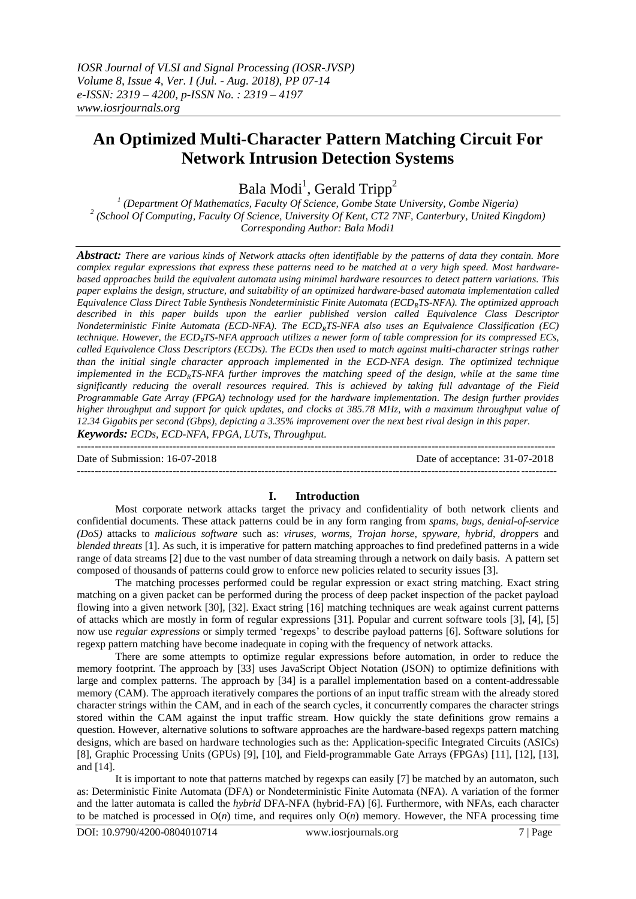# **An Optimized Multi-Character Pattern Matching Circuit For Network Intrusion Detection Systems**

Bala Modi<sup>1</sup>, Gerald Tripp<sup>2</sup>

*1 (Department Of Mathematics, Faculty Of Science, Gombe State University, Gombe Nigeria) 2 (School Of Computing, Faculty Of Science, University Of Kent, CT2 7NF, Canterbury, United Kingdom) Corresponding Author: Bala Modi1*

*Abstract: There are various kinds of Network attacks often identifiable by the patterns of data they contain. More complex regular expressions that express these patterns need to be matched at a very high speed. Most hardwarebased approaches build the equivalent automata using minimal hardware resources to detect pattern variations. This paper explains the design, structure, and suitability of an optimized hardware-based automata implementation called Equivalence Class Direct Table Synthesis Nondeterministic Finite Automata (ECDRTS-NFA). The optimized approach described in this paper builds upon the earlier published version called Equivalence Class Descriptor Nondeterministic Finite Automata (ECD-NFA). The ECDRTS-NFA also uses an Equivalence Classification (EC) technique. However, the ECDRTS-NFA approach utilizes a newer form of table compression for its compressed ECs, called Equivalence Class Descriptors (ECDs). The ECDs then used to match against multi-character strings rather than the initial single character approach implemented in the ECD-NFA design. The optimized technique implemented in the ECDRTS-NFA further improves the matching speed of the design, while at the same time significantly reducing the overall resources required. This is achieved by taking full advantage of the Field Programmable Gate Array (FPGA) technology used for the hardware implementation. The design further provides higher throughput and support for quick updates, and clocks at 385.78 MHz, with a maximum throughput value of 12.34 Gigabits per second (Gbps), depicting a 3.35% improvement over the next best rival design in this paper.*

*Keywords: ECDs, ECD-NFA, FPGA, LUTs, Throughput.*

--------------------------------------------------------------------------------------------------------------------------------------- Date of Submission: 16-07-2018 Date of acceptance: 31-07-2018

## **I. Introduction**

---------------------------------------------------------------------------------------------------------------------------------------

Most corporate network attacks target the privacy and confidentiality of both network clients and confidential documents. These attack patterns could be in any form ranging from *spams, bugs, denial-of-service (DoS)* attacks to *malicious software* such as: *viruses, worms, Trojan horse, spyware, hybrid, droppers* and *blended threats* [\[1\].](#page-6-0) As such, it is imperative for pattern matching approaches to find predefined patterns in a wide range of data stream[s \[2\]](#page-6-1) due to the vast number of data streaming through a network on daily basis. A pattern set composed of thousands of patterns could grow to enforce new policies related to security issues [\[3\].](#page-6-2)

The matching processes performed could be regular expression or exact string matching. Exact string matching on a given packet can be performed during the process of deep packet inspection of the packet payload flowing into a given network [\[30\],](#page-7-0) [\[32\].](#page-7-1) Exact string [\[16\]](#page-6-3) matching techniques are weak against current patterns of attacks which are mostly in form of regular expressions [\[31\].](#page-7-2) Popular and current software tools [\[3\],](#page-6-2) [\[4\],](#page-6-4) [\[5\]](#page-6-5) now use *regular expressions* or simply termed "regexps" to describe payload patterns [\[6\].](#page-6-6) Software solutions for regexp pattern matching have become inadequate in coping with the frequency of network attacks.

There are some attempts to optimize regular expressions before automation, in order to reduce the memory footprint. The approach by [\[33\]](#page-7-3) uses JavaScript Object Notation (JSON) to optimize definitions with large and complex patterns. The approach by [\[34\]](#page-7-4) is a parallel implementation based on a content-addressable memory (CAM). The approach iteratively compares the portions of an input traffic stream with the already stored character strings within the CAM, and in each of the search cycles, it concurrently compares the character strings stored within the CAM against the input traffic stream. How quickly the state definitions grow remains a question. However, alternative solutions to software approaches are the hardware-based regexps pattern matching designs, which are based on hardware technologies such as the: Application-specific Integrated Circuits (ASICs) [\[8\],](#page-6-7) Graphic Processing Units (GPUs) [\[9\],](#page-6-8) [\[10\],](#page-6-9) and Field-programmable Gate Arrays (FPGAs) [\[11\],](#page-6-10) [\[12\],](#page-6-11) [\[13\],](#page-6-12) an[d \[14\].](#page-6-13)

It is important to note that patterns matched by regexps can easily [7] be matched by an automaton, such as: Deterministic Finite Automata (DFA) or Nondeterministic Finite Automata (NFA). A variation of the former and the latter automata is called the *hybrid* DFA-NFA (hybrid-FA) [\[6\].](#page-6-6) Furthermore, with NFAs, each character to be matched is processed in  $O(n)$  time, and requires only  $O(n)$  memory. However, the NFA processing time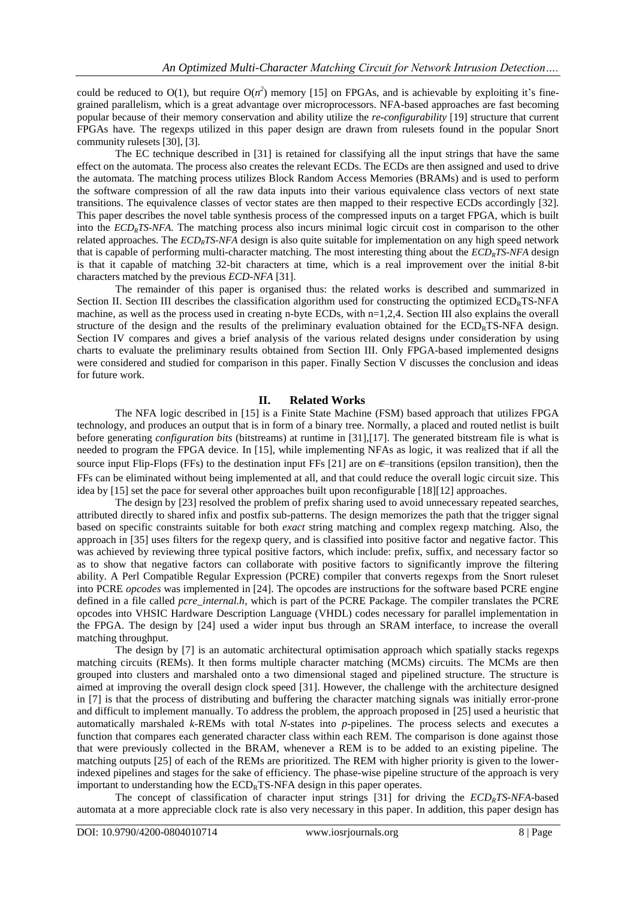could be reduced to  $O(1)$ , but require  $O(n^2)$  memory [\[15\]](#page-6-14) on FPGAs, and is achievable by exploiting it's finegrained parallelism, which is a great advantage over microprocessors. NFA-based approaches are fast becoming popular because of their memory conservation and ability utilize the *re-configurability* [\[19\]](#page-6-15) structure that current FPGAs have. The regexps utilized in this paper design are drawn from rulesets found in the popular Snort community rulesets [\[30\],](#page-7-0) [\[3\].](#page-6-2)

The EC technique described in [\[31\]](#page-7-2) is retained for classifying all the input strings that have the same effect on the automata. The process also creates the relevant ECDs. The ECDs are then assigned and used to drive the automata. The matching process utilizes Block Random Access Memories (BRAMs) and is used to perform the software compression of all the raw data inputs into their various equivalence class vectors of next state transitions. The equivalence classes of vector states are then mapped to their respective ECDs accordingly [\[32\].](#page-7-1) This paper describes the novel table synthesis process of the compressed inputs on a target FPGA, which is built into the *ECDRTS-NFA*. The matching process also incurs minimal logic circuit cost in comparison to the other related approaches. The *ECDRTS-NFA* design is also quite suitable for implementation on any high speed network that is capable of performing multi-character matching. The most interesting thing about the *ECDRTS-NFA* design is that it capable of matching 32-bit characters at time, which is a real improvement over the initial 8-bit characters matched by the previous *ECD-NFA* [\[31\].](#page-7-2)

The remainder of this paper is organised thus: the related works is described and summarized in Section [II.](#page-1-0) Section [III](#page-2-0) describes the classification algorithm used for constructing the optimized  $ECD<sub>R</sub>TS-NFA$ machine, as well as the process used in creating n-byte ECDs, with n=1,2,4. Section [III](#page-2-0) also explains the overall structure of the design and the results of the preliminary evaluation obtained for the  $ECD_RTS-NFA$  design. Section [IV](#page-4-0) compares and gives a brief analysis of the various related designs under consideration by using charts to evaluate the preliminary results obtained from Section [III.](#page-2-0) Only FPGA-based implemented designs were considered and studied for comparison in this paper. Finally Section V discusses the conclusion and ideas for future work.

## **II. Related Works**

<span id="page-1-0"></span>The NFA logic described in [\[15\]](#page-6-14) is a Finite State Machine (FSM) based approach that utilizes FPGA technology, and produces an output that is in form of a binary tree. Normally, a placed and routed netlist is built before generating *configuration bits* (bitstreams) at runtime in [\[31\]](#page-7-2)[,\[17\].](#page-6-16) The generated bitstream file is what is needed to program the FPGA device. In [\[15\],](#page-6-14) while implementing NFAs as logic, it was realized that if all the source input Flip-Flops (FFs) to the destination input FFs [\[21\]](#page-6-17) are on  $\epsilon$ -transitions (epsilon transition), then the FFs can be eliminated without being implemented at all, and that could reduce the overall logic circuit size. This idea b[y \[15\]](#page-6-14) set the pace for several other approaches built upon reconfigurable [\[18\]\[12\]](#page-6-18) approaches.

The design by [\[23\]](#page-7-5) resolved the problem of prefix sharing used to avoid unnecessary repeated searches, attributed directly to shared infix and postfix sub-patterns. The design memorizes the path that the trigger signal based on specific constraints suitable for both *exact* string matching and complex regexp matching. Also, the approach in [\[35\]](#page-7-6) uses filters for the regexp query, and is classified into positive factor and negative factor. This was achieved by reviewing three typical positive factors, which include: prefix, suffix, and necessary factor so as to show that negative factors can collaborate with positive factors to significantly improve the filtering ability. A Perl Compatible Regular Expression (PCRE) compiler that converts regexps from the Snort ruleset into PCRE *opcodes* was implemented in [\[24\].](#page-7-7) The opcodes are instructions for the software based PCRE engine defined in a file called *pcre\_internal.h,* which is part of the PCRE Package. The compiler translates the PCRE opcodes into VHSIC Hardware Description Language (VHDL) codes necessary for parallel implementation in the FPGA. The design by [\[24\]](#page-7-7) used a wider input bus through an SRAM interface, to increase the overall matching throughput.

The design by [\[7\]](#page-6-19) is an automatic architectural optimisation approach which spatially stacks regexps matching circuits (REMs). It then forms multiple character matching (MCMs) circuits. The MCMs are then grouped into clusters and marshaled onto a two dimensional staged and pipelined structure. The structure is aimed at improving the overall design clock speed [\[31\].](#page-7-2) However, the challenge with the architecture designed in [\[7\]](#page-6-19) is that the process of distributing and buffering the character matching signals was initially error-prone and difficult to implement manually. To address the problem, the approach proposed in [\[25\]](#page-7-8) used a heuristic that automatically marshaled *k-*REMs with total *N-*states into *p-*pipelines. The process selects and executes a function that compares each generated character class within each REM. The comparison is done against those that were previously collected in the BRAM, whenever a REM is to be added to an existing pipeline. The matching outputs [\[25\]](#page-7-8) of each of the REMs are prioritized. The REM with higher priority is given to the lowerindexed pipelines and stages for the sake of efficiency. The phase-wise pipeline structure of the approach is very important to understanding how the  $ECD<sub>R</sub>TS-NFA$  design in this paper operates.

The concept of classification of character input strings [\[31\]](#page-7-2) for driving the *ECDRTS-NFA*-based automata at a more appreciable clock rate is also very necessary in this paper. In addition, this paper design has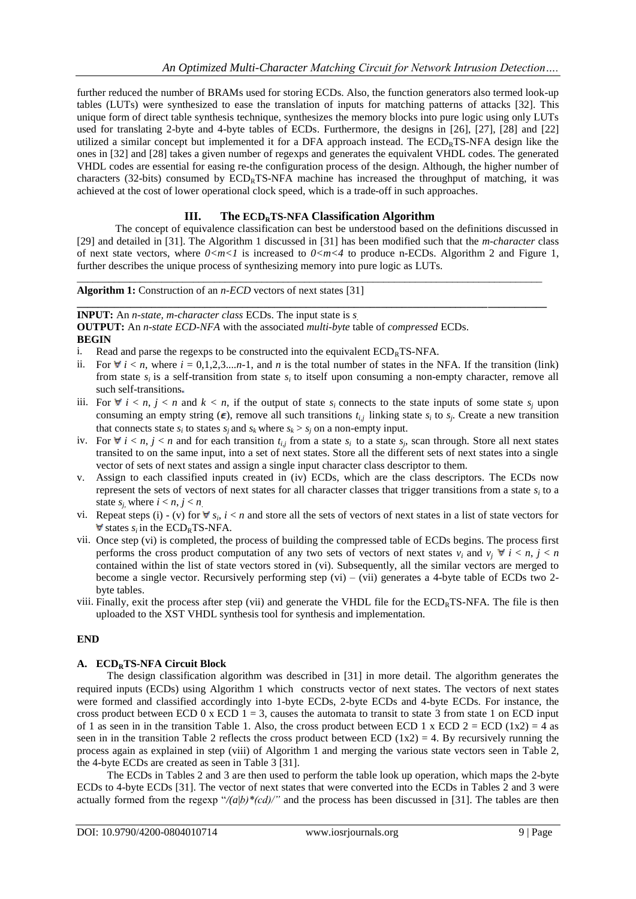further reduced the number of BRAMs used for storing ECDs. Also, the function generators also termed look-up tables (LUTs) were synthesized to ease the translation of inputs for matching patterns of attacks [\[32\].](#page-7-1) This unique form of direct table synthesis technique, synthesizes the memory blocks into pure logic using only LUTs used for translating 2-byte and 4-byte tables of ECDs. Furthermore, the designs in [\[26\],](#page-7-9) [\[27\],](#page-7-10) [\[28\]](#page-7-11) and [\[22\]](#page-6-20) utilized a similar concept but implemented it for a DFA approach instead. The ECDRTS-NFA design like the ones in [\[32\]](#page-7-1) and [\[28\]](#page-7-11) takes a given number of regexps and generates the equivalent VHDL codes. The generated VHDL codes are essential for easing re-the configuration process of the design. Although, the higher number of characters (32-bits) consumed by  $ECD_RTS-NFA$  machine has increased the throughput of matching, it was achieved at the cost of lower operational clock speed, which is a trade-off in such approaches.

# **III. The ECDRTS-NFA Classification Algorithm**

\_\_\_\_\_\_\_\_\_\_\_\_\_\_\_\_\_\_\_\_\_\_\_\_\_\_\_\_\_\_\_\_\_\_\_\_\_\_\_\_\_\_\_\_\_\_\_\_\_\_\_\_\_\_\_\_\_\_\_\_\_\_\_\_\_\_\_\_\_\_\_\_\_\_\_\_\_\_\_\_\_\_\_\_\_\_\_\_

<span id="page-2-0"></span>The concept of equivalence classification can best be understood based on the definitions discussed in [\[29\]](#page-7-12) and detailed in [\[31\].](#page-7-2) The Algorithm 1 discussed in [\[31\]](#page-7-2) has been modified such that the *m-character* class of next state vectors, where  $0 < m < 1$  is increased to  $0 < m < 4$  to produce n-ECDs. Algorithm 2 and Figure 1, further describes the unique process of synthesizing memory into pure logic as LUTs.

#### **Algorithm 1:** Construction of an *n-ECD* vectors of next states [\[31\]](#page-7-2)

#### **\_\_\_\_\_\_\_\_\_\_\_\_\_\_\_\_\_\_\_\_\_\_\_\_\_\_\_\_\_\_\_\_\_\_\_\_\_\_\_\_\_\_\_\_\_\_\_\_\_\_\_\_\_\_\_\_\_\_\_\_\_\_\_\_\_\_\_\_\_\_\_\_\_\_\_\_\_\_\_\_\_\_\_\_\_\_\_\_ INPUT:** An *n-state, m-character class* ECDs. The input state is *s.*

**OUTPUT:** An *n-state ECD-NFA* with the associated *multi-byte* table of *compressed* ECDs.

**BEGIN**

<span id="page-2-2"></span>i. Read and parse the regexps to be constructed into the equivalent  $ECD<sub>R</sub>TS-NFA$ .

- ii. For  $\forall i \leq n$ , where  $i = 0,1,2,3,...n-1$ , and *n* is the total number of states in the NFA. If the transition (link) from state  $s_i$  is a self-transition from state  $s_i$  to itself upon consuming a non-empty character, remove all such self-transitions
- iii. For  $\forall i \leq n, j \leq n$  and  $k \leq n$ , if the output of state  $s_i$  connects to the state inputs of some state  $s_j$  upon consuming an empty string  $(\epsilon)$ , remove all such transitions  $t_{i,j}$  linking state  $s_i$  to  $s_j$ . Create a new transition that connects state  $s_i$  to states  $s_j$  and  $s_k$  where  $s_k > s_j$  on a non-empty input.
- <span id="page-2-1"></span>iv. For  $\forall i \leq n, j \leq n$  and for each transition  $t_{i,j}$  from a state  $s_i$  to a state  $s_j$ , scan through. Store all next states transited to on the same input, into a set of next states. Store all the different sets of next states into a single vector of sets of next states and assign a single input character class descriptor to them.
- <span id="page-2-3"></span>v. Assign to each classified inputs created in [\(iv\)](#page-2-1) ECDs, which are the class descriptors. The ECDs now represent the sets of vectors of next states for all character classes that trigger transitions from a state *s<sup>i</sup>* to a state  $s_i$ , where  $i < n, j < n$ .
- <span id="page-2-4"></span>vi. Repeat steps [\(i\)](#page-2-2) - [\(v\)](#page-2-3) for  $\forall s_i$ ,  $i < n$  and store all the sets of vectors of next states in a list of state vectors for states  $s_i$  in the  $\text{ECD}_R$ TS-NFA.
- <span id="page-2-5"></span>vii. Once step [\(vi\)](#page-2-4) is completed, the process of building the compressed table of ECDs begins. The process first performs the cross product computation of any two sets of vectors of next states  $v_i$  and  $v_j \forall i \le n, j \le n$ contained within the list of state vectors stored in [\(vi\)](#page-2-4). Subsequently, all the similar vectors are merged to become a single vector. Recursively performing step [\(vi\)](#page-2-4) – [\(vii\)](#page-2-5) generates a 4-byte table of ECDs two 2byte tables.
- <span id="page-2-6"></span>viii. Finally, exit the process after step [\(vii\)](#page-2-6) and generate the VHDL file for the  $ECD<sub>R</sub>TS-NFA$ . The file is then uploaded to the XST VHDL synthesis tool for synthesis and implementation.

## **END**

## **A. ECDRTS-NFA Circuit Block**

The design classification algorithm was described in [\[31\]](#page-7-2) in more detail. The algorithm generates the required inputs (ECDs) using Algorithm 1 which constructs vector of next states. The vectors of next states were formed and classified accordingly into 1-byte ECDs, 2-byte ECDs and 4-byte ECDs. For instance, the cross product between ECD 0 x ECD  $1 = 3$ , causes the automata to transit to state 3 from state 1 on ECD input of 1 as seen in in the transition Table 1. Also, the cross product between ECD 1 x ECD 2 = ECD (1x2) = 4 as seen in in the transition Table 2 reflects the cross product between ECD  $(1x2) = 4$ . By recursively running the process again as explained in step (viii) of Algorithm 1 and merging the various state vectors seen in Table 2, the 4-byte ECDs are created as seen in Table 3 [\[31\].](#page-7-2)

The ECDs in Tables 2 and 3 are then used to perform the table look up operation, which maps the 2-byte ECDs to 4-byte ECDs [\[31\].](#page-7-2) The vector of next states that were converted into the ECDs in Tables 2 and 3 were actually formed from the regexp " $/(a|b)* (cd)$ " and the process has been discussed in [\[31\].](#page-7-2) The tables are then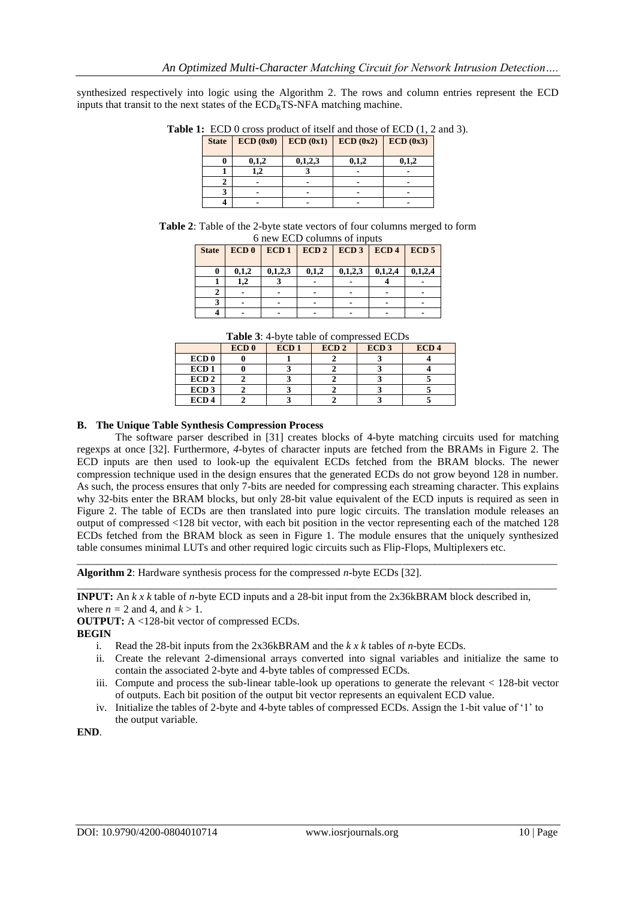synthesized respectively into logic using the Algorithm 2. The rows and column entries represent the ECD inputs that transit to the next states of the  $ECD<sub>R</sub>TS-NFA$  matching machine.

| <b>State</b> | ECD(0x0) | ECD(0x1) | ECD(0x2) | ECD(0x3) |
|--------------|----------|----------|----------|----------|
| 0            | 0,1,2    | 0,1,2,3  | 0,1,2    | 0,1,2    |
|              |          |          |          |          |
|              |          |          |          |          |
|              |          |          |          |          |
|              |          |          |          |          |

Table 1: ECD 0 cross product of itself and those of ECD  $(1, 2 \text{ and } 3)$ .

**Table 2**: Table of the 2-byte state vectors of four columns merged to form 6 new ECD columns of inputs

| <b>State</b> | ECD0  |         | ECD1   ECD2   ECD3   ECD4 |         |         | ECD <sub>5</sub> |
|--------------|-------|---------|---------------------------|---------|---------|------------------|
| 0            | 0,1,2 | 0,1,2,3 | 0,1,2                     | 0,1,2,3 | 0,1,2,4 | 0,1,2,4          |
|              | 1.2   |         |                           |         |         |                  |
|              |       |         |                           |         |         |                  |
|              |       |         |                           |         |         |                  |
|              |       |         |                           |         |         |                  |

**Table 3**: 4-byte table of compressed ECDs

|                  | ECD <sub>0</sub> | ECD <sub>1</sub> | ECD <sub>2</sub> | ECD <sub>3</sub> | ECD <sub>4</sub> |
|------------------|------------------|------------------|------------------|------------------|------------------|
| ECD <sub>0</sub> |                  |                  |                  |                  |                  |
| ECD <sub>1</sub> |                  |                  |                  |                  |                  |
| ECD <sub>2</sub> |                  |                  |                  |                  |                  |
| ECD <sub>3</sub> |                  |                  |                  |                  |                  |
| ECD <sub>4</sub> |                  |                  |                  |                  |                  |

#### **B. The Unique Table Synthesis Compression Process**

The software parser described in [\[31\]](#page-7-2) creates blocks of 4-byte matching circuits used for matching regexps at once [\[32\].](#page-7-1) Furthermore, *4*-bytes of character inputs are fetched from the BRAMs in Figure 2. The ECD inputs are then used to look-up the equivalent ECDs fetched from the BRAM blocks. The newer compression technique used in the design ensures that the generated ECDs do not grow beyond 128 in number. As such, the process ensures that only 7-bits are needed for compressing each streaming character. This explains why 32-bits enter the BRAM blocks, but only 28-bit value equivalent of the ECD inputs is required as seen in Figure 2. The table of ECDs are then translated into pure logic circuits. The translation module releases an output of compressed <128 bit vector, with each bit position in the vector representing each of the matched 128 ECDs fetched from the BRAM block as seen in Figure 1. The module ensures that the uniquely synthesized table consumes minimal LUTs and other required logic circuits such as Flip-Flops, Multiplexers etc.

\_\_\_\_\_\_\_\_\_\_\_\_\_\_\_\_\_\_\_\_\_\_\_\_\_\_\_\_\_\_\_\_\_\_\_\_\_\_\_\_\_\_\_\_\_\_\_\_\_\_\_\_\_\_\_\_\_\_\_\_\_\_\_\_\_\_\_\_\_\_\_\_\_\_\_\_\_\_\_\_\_\_\_\_\_\_\_\_\_\_

\_\_\_\_\_\_\_\_\_\_\_\_\_\_\_\_\_\_\_\_\_\_\_\_\_\_\_\_\_\_\_\_\_\_\_\_\_\_\_\_\_\_\_\_\_\_\_\_\_\_\_\_\_\_\_\_\_\_\_\_\_\_\_\_\_\_\_\_\_\_\_\_\_\_\_\_\_\_\_\_\_\_\_\_\_\_\_\_\_\_

**Algorithm 2**: Hardware synthesis process for the compressed *n-*byte ECDs [\[32\].](#page-7-1)

**INPUT:** An *k x k* table of *n-*byte ECD inputs and a 28-bit input from the 2x36kBRAM block described in, where  $n = 2$  and 4, and  $k > 1$ .

**OUTPUT:** A <128-bit vector of compressed ECDs.

**BEGIN**

- i. Read the 28-bit inputs from the 2x36kBRAM and the *k x k* tables of *n*-byte ECDs.
- ii. Create the relevant 2-dimensional arrays converted into signal variables and initialize the same to contain the associated 2-byte and 4-byte tables of compressed ECDs.
- iii. Compute and process the sub-linear table-look up operations to generate the relevant < 128-bit vector of outputs. Each bit position of the output bit vector represents an equivalent ECD value.
- iv. Initialize the tables of 2-byte and 4-byte tables of compressed ECDs. Assign the 1-bit value of "1" to the output variable.

**END**.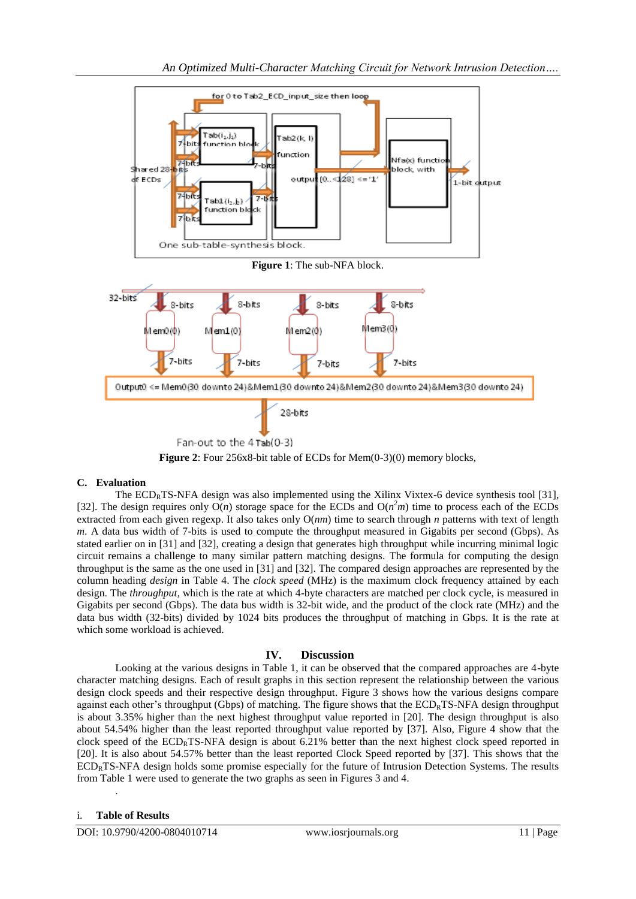

**Figure 2**: Four 256x8-bit table of ECDs for Mem(0-3)(0) memory blocks,

## **C. Evaluation**

The  $ECD<sub>R</sub>TS-NFA$  design was also implemented using the Xilinx Vixtex-6 device synthesis tool [\[31\],](#page-7-2) [\[32\].](#page-7-1) The design requires only  $O(n)$  storage space for the ECDs and  $O(n^2m)$  time to process each of the ECDs extracted from each given regexp. It also takes only O(*nm*) time to search through *n* patterns with text of length *m*. A data bus width of 7-bits is used to compute the throughput measured in Gigabits per second (Gbps). As stated earlier on in [\[31\]](#page-7-2) and [\[32\],](#page-7-1) creating a design that generates high throughput while incurring minimal logic circuit remains a challenge to many similar pattern matching designs. The formula for computing the design throughput is the same as the one used in [\[31\]](#page-7-2) and [\[32\].](#page-7-1) The compared design approaches are represented by the column heading *design* in Table 4. The *clock speed* (MHz) is the maximum clock frequency attained by each design. The *throughput,* which is the rate at which 4-byte characters are matched per clock cycle, is measured in Gigabits per second (Gbps). The data bus width is 32-bit wide, and the product of the clock rate (MHz) and the data bus width (32-bits) divided by 1024 bits produces the throughput of matching in Gbps. It is the rate at which some workload is achieved.

# **IV. Discussion**

<span id="page-4-0"></span>Looking at the various designs in Table 1, it can be observed that the compared approaches are 4-byte character matching designs. Each of result graphs in this section represent the relationship between the various design clock speeds and their respective design throughput. Figure 3 shows how the various designs compare against each other's throughput (Gbps) of matching. The figure shows that the  $ECD_RTS-NFA$  design throughput is about 3.35% higher than the next highest throughput value reported in [\[20\].](#page-6-21) The design throughput is also about 54.54% higher than the least reported throughput value reported by [\[37\].](#page-7-13) Also, Figure 4 show that the clock speed of the ECD<sub>R</sub>TS-NFA design is about 6.21% better than the next highest clock speed reported in [\[20\].](#page-6-21) It is also about 54.57% better than the least reported Clock Speed reported by [\[37\].](#page-7-13) This shows that the  $ECD<sub>R</sub>TS-NFA$  design holds some promise especially for the future of Intrusion Detection Systems. The results from Table 1 were used to generate the two graphs as seen in Figures 3 and 4.

## i. **Table of Results**

.

DOI: 10.9790/4200-0804010714 www.iosrjournals.org 11 | Page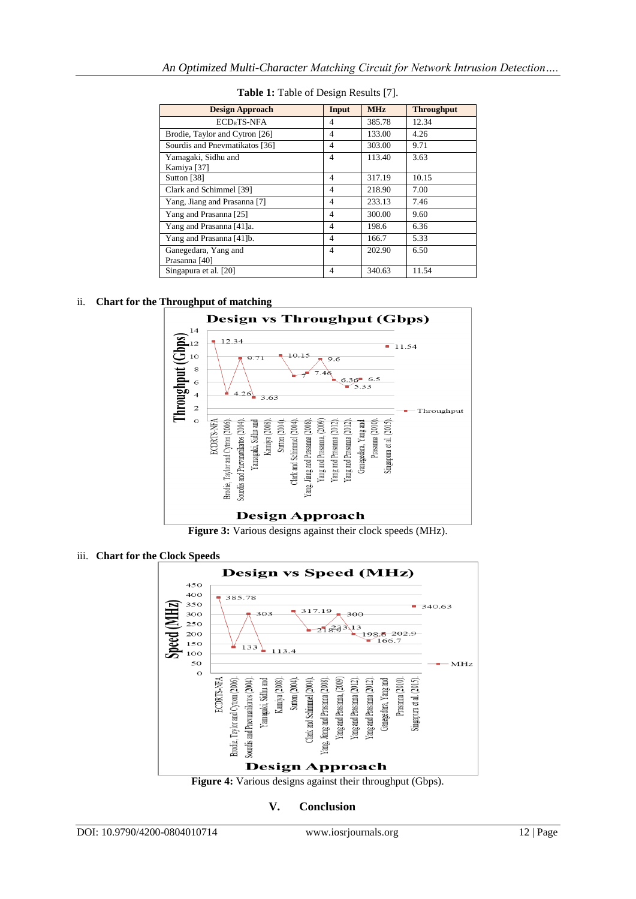| <b>Design Approach</b>         | Input                    | <b>MHz</b> | <b>Throughput</b> |
|--------------------------------|--------------------------|------------|-------------------|
|                                |                          |            |                   |
| ECD <sub>p</sub> TS-NFA        | 4                        | 385.78     | 12.34             |
| Brodie, Taylor and Cytron [26] | $\overline{4}$           | 133.00     | 4.26              |
| Sourdis and Pnevmatikatos [36] | 4                        | 303.00     | 9.71              |
| Yamagaki, Sidhu and            | $\overline{4}$           | 113.40     | 3.63              |
| Kamiya [37]                    |                          |            |                   |
| Sutton [38]                    | $\overline{4}$           | 317.19     | 10.15             |
| Clark and Schimmel [39]        | 4                        | 218.90     | 7.00              |
| Yang, Jiang and Prasanna [7]   | 4                        | 233.13     | 7.46              |
| Yang and Prasanna [25]         | $\overline{4}$           | 300.00     | 9.60              |
| Yang and Prasanna [41]a.       | $\overline{4}$           | 198.6      | 6.36              |
| Yang and Prasanna [41]b.       | $\overline{\mathcal{A}}$ | 166.7      | 5.33              |
| Ganegedara, Yang and           | $\overline{4}$           | 202.90     | 6.50              |
| Prasanna [40]                  |                          |            |                   |
| Singapura et al. [20]          | 4                        | 340.63     | 11.54             |

**Table 1:** Table of Design Results [\[7\].](#page-6-19)

# ii. **Chart for the Throughput of matching**



**Figure 3:** Various designs against their clock speeds (MHz).

# iii. **Chart for the Clock Speeds**



**Figure 4:** Various designs against their throughput (Gbps).

## **V. Conclusion**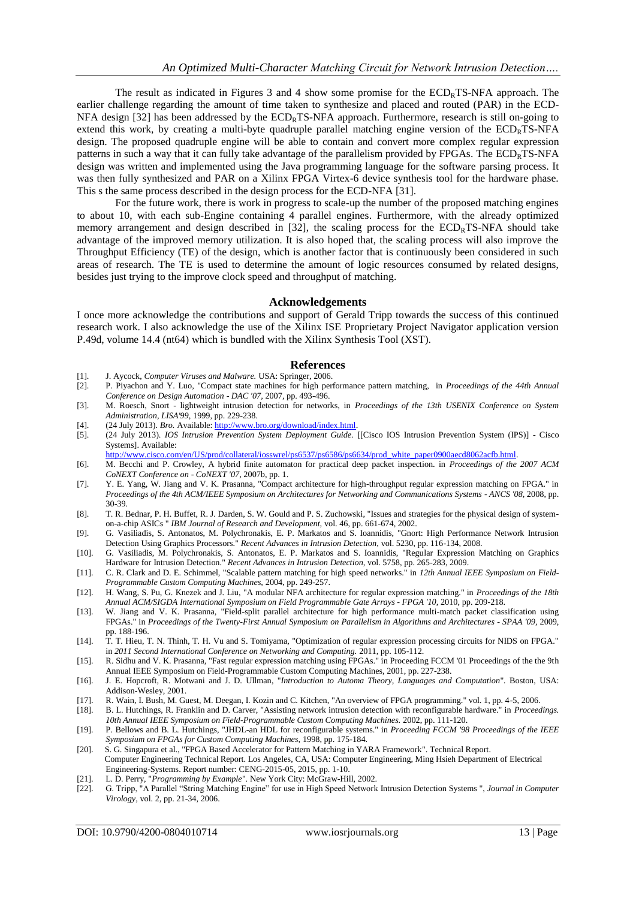The result as indicated in Figures 3 and 4 show some promise for the  $ECD<sub>R</sub>TS-NFA$  approach. The earlier challenge regarding the amount of time taken to synthesize and placed and routed (PAR) in the ECD-NFA design  $[32]$  has been addressed by the  $ECD_RTS-NFA$  approach. Furthermore, research is still on-going to extend this work, by creating a multi-byte quadruple parallel matching engine version of the  $ECD<sub>R</sub>TS-NFA$ design. The proposed quadruple engine will be able to contain and convert more complex regular expression patterns in such a way that it can fully take advantage of the parallelism provided by FPGAs. The  $ECD<sub>R</sub>TS-NFA$ design was written and implemented using the Java programming language for the software parsing process. It was then fully synthesized and PAR on a Xilinx FPGA Virtex-6 device synthesis tool for the hardware phase. This s the same process described in the design process for the ECD-NF[A \[31\].](#page-7-2)

For the future work, there is work in progress to scale-up the number of the proposed matching engines to about 10, with each sub-Engine containing 4 parallel engines. Furthermore, with the already optimized memory arrangement and design described in [\[32\],](#page-7-1) the scaling process for the  $ECD<sub>R</sub>TS-NFA$  should take advantage of the improved memory utilization. It is also hoped that, the scaling process will also improve the Throughput Efficiency (TE) of the design, which is another factor that is continuously been considered in such areas of research. The TE is used to determine the amount of logic resources consumed by related designs, besides just trying to the improve clock speed and throughput of matching.

#### **Acknowledgements**

I once more acknowledge the contributions and support of Gerald Tripp towards the success of this continued research work. I also acknowledge the use of the Xilinx ISE Proprietary Project Navigator application version P.49d, volume 14.4 (nt64) which is bundled with the Xilinx Synthesis Tool (XST).

#### **References**

- <span id="page-6-0"></span>[1]. J. Aycock, *Computer Viruses and Malware.* USA: Springer, 2006.
- <span id="page-6-1"></span>[2]. P. Piyachon and Y. Luo, "Compact state machines for high performance pattern matching, in *Proceedings of the 44th Annual Conference on Design Automation - DAC '07,* 2007, pp. 493-496.
- <span id="page-6-2"></span>[3]. M. Roesch, Snort - lightweight intrusion detection for networks, in *Proceedings of the 13th USENIX Conference on System Administration, LISA'99,* 1999, pp. 229-238.
- <span id="page-6-4"></span>[4]. (24 July 2013). *Bro.* Available: http://www.bro.org/download/index.html
- <span id="page-6-5"></span>[5]. (24 July 2013). *IOS Intrusion Prevention System Deployment Guide.* [[Cisco IOS Intrusion Prevention System (IPS)] - Cisco Systems]. Available:

[http://www.cisco.com/en/US/prod/collateral/iosswrel/ps6537/ps6586/ps6634/prod\\_white\\_paper0900aecd8062acfb.html.](http://www.cisco.com/en/US/prod/collateral/iosswrel/ps6537/ps6586/ps6634/prod_white_paper0900aecd8062acfb.html)

- <span id="page-6-6"></span>[6]. M. Becchi and P. Crowley, A hybrid finite automaton for practical deep packet inspection. in *Proceedings of the 2007 ACM CoNEXT Conference on - CoNEXT '07,* 2007b, pp. 1.
- <span id="page-6-19"></span>[7]. Y. E. Yang, W. Jiang and V. K. Prasanna, "Compact architecture for high-throughput regular expression matching on FPGA." in *Proceedings of the 4th ACM/IEEE Symposium on Architectures for Networking and Communications Systems - ANCS '08,* 2008, pp. 30-39.
- <span id="page-6-7"></span>[8]. T. R. Bednar, P. H. Buffet, R. J. Darden, S. W. Gould and P. S. Zuchowski, "Issues and strategies for the physical design of systemon-a-chip ASICs " *IBM Journal of Research and Development,* vol. 46, pp. 661-674, 2002.
- <span id="page-6-8"></span>[9]. G. Vasiliadis, S. Antonatos, M. Polychronakis, E. P. Markatos and S. Ioannidis, "Gnort: High Performance Network Intrusion Detection Using Graphics Processors." *Recent Advances in Intrusion Detection,* vol. 5230, pp. 116-134, 2008.
- <span id="page-6-9"></span>[10]. G. Vasiliadis, M. Polychronakis, S. Antonatos, E. P. Markatos and S. Ioannidis, "Regular Expression Matching on Graphics Hardware for Intrusion Detection." *Recent Advances in Intrusion Detection,* vol. 5758, pp. 265-283, 2009.
- <span id="page-6-10"></span>[11]. C. R. Clark and D. E. Schimmel, "Scalable pattern matching for high speed networks." in *12th Annual IEEE Symposium on Field-Programmable Custom Computing Machines,* 2004, pp. 249-257.
- <span id="page-6-11"></span>[12]. H. Wang, S. Pu, G. Knezek and J. Liu, "A modular NFA architecture for regular expression matching." in *Proceedings of the 18th Annual ACM/SIGDA International Symposium on Field Programmable Gate Arrays - FPGA '10,* 2010, pp. 209-218.
- <span id="page-6-12"></span>[13]. W. Jiang and V. K. Prasanna, "Field-split parallel architecture for high performance multi-match packet classification using FPGAs." in *Proceedings of the Twenty-First Annual Symposium on Parallelism in Algorithms and Architectures - SPAA '09,* 2009, pp. 188-196.
- <span id="page-6-13"></span>[14]. T. T. Hieu, T. N. Thinh, T. H. Vu and S. Tomiyama, "Optimization of regular expression processing circuits for NIDS on FPGA." in *2011 Second International Conference on Networking and Computing.* 2011, pp. 105-112.
- <span id="page-6-14"></span>[15]. R. Sidhu and V. K. Prasanna, "Fast regular expression matching using FPGAs." in Proceeding FCCM '01 Proceedings of the the 9th Annual IEEE Symposium on Field-Programmable Custom Computing Machines, 2001, pp. 227-238.
- <span id="page-6-3"></span>[16]. J. E. Hopcroft, R. Motwani and J. D. Ullman, "*Introduction to Automa Theory, Languages and Computation*"*.* Boston, USA: Addison-Wesley, 2001.
- <span id="page-6-16"></span>[17]. R. Wain, I. Bush, M. Guest, M. Deegan, I. Kozin and C. Kitchen, "An overview of FPGA programming." vol. 1, pp. 4-5, 2006.<br>[18]. B. L. Hutchings, R. Franklin and D. Carver, "Assisting network intrusion detection with
- <span id="page-6-18"></span>[18]. B. L. Hutchings, R. Franklin and D. Carver, "Assisting network intrusion detection with reconfigurable hardware." in *Proceedings. 10th Annual IEEE Symposium on Field-Programmable Custom Computing Machines.* 2002, pp. 111-120.
- <span id="page-6-15"></span>[19]. P. Bellows and B. L. Hutchings, "JHDL-an HDL for reconfigurable systems." in *Proceeding FCCM '98 Proceedings of the IEEE Symposium on FPGAs for Custom Computing Machines,* 1998, pp. 175-184.
- [20]. S. G. Singapura et al., "FPGA Based Accelerator for Pattern Matching in YARA Framework". Technical Report.
- <span id="page-6-21"></span> Computer Engineering Technical Report. Los Angeles, CA, USA: Computer Engineering, Ming Hsieh Department of Electrical Engineering-Systems. Report number: CENG-2015-05, 2015, pp. 1-10.
- <span id="page-6-17"></span>[21]. L. D. Perry, "*Programming by Example*"*.* New York City: McGraw-Hill, 2002.
- <span id="page-6-20"></span>[22]. G. Tripp, "A Parallel "String Matching Engine" for use in High Speed Network Intrusion Detection Systems ", *Journal in Computer Virology,* vol. 2, pp. 21-34, 2006.